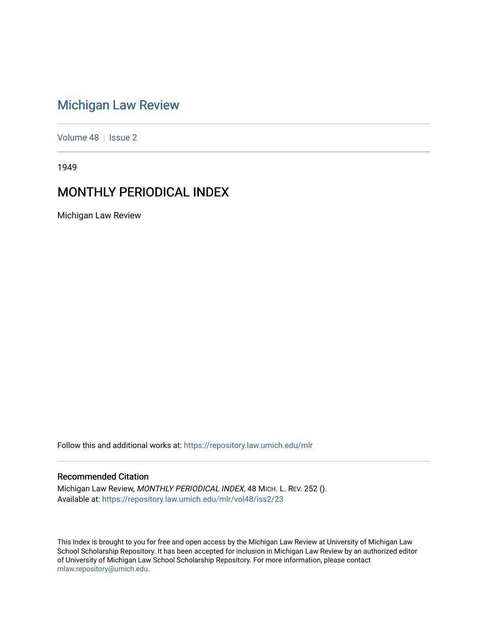# [Michigan Law Review](https://repository.law.umich.edu/mlr)

[Volume 48](https://repository.law.umich.edu/mlr/vol48) | [Issue 2](https://repository.law.umich.edu/mlr/vol48/iss2)

1949

# MONTHLY PERIODICAL INDEX

Michigan Law Review

Follow this and additional works at: [https://repository.law.umich.edu/mlr](https://repository.law.umich.edu/mlr?utm_source=repository.law.umich.edu%2Fmlr%2Fvol48%2Fiss2%2F23&utm_medium=PDF&utm_campaign=PDFCoverPages) 

# Recommended Citation

Michigan Law Review, MONTHLY PERIODICAL INDEX, 48 MICH. L. REV. 252 (). Available at: [https://repository.law.umich.edu/mlr/vol48/iss2/23](https://repository.law.umich.edu/mlr/vol48/iss2/23?utm_source=repository.law.umich.edu%2Fmlr%2Fvol48%2Fiss2%2F23&utm_medium=PDF&utm_campaign=PDFCoverPages) 

This Index is brought to you for free and open access by the Michigan Law Review at University of Michigan Law School Scholarship Repository. It has been accepted for inclusion in Michigan Law Review by an authorized editor of University of Michigan Law School Scholarship Repository. For more information, please contact [mlaw.repository@umich.edu.](mailto:mlaw.repository@umich.edu)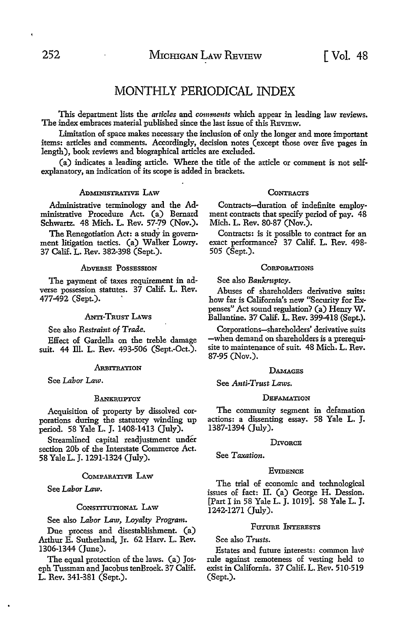# MONTHLY PERIODICAL INDEX

This department lists the *articles* and *comments* which appear in leading law reviews. The index embraces material published since the last issue of this REVIEW.

Limitation of space makes necessary the inclusion of only the longer and more important items: articles and comments. Accordingly, decision notes (except those over five pages in length), book reviews and biographical articles are excluded.

(a) indicates a leading article. Where the title of the article or comment is not selfexplanatory, an indication of its scope is added in brackets.

# ADMINISTRATIVE LAW

Administrative terminology and the Administrative Procedure Act. (a) Bernard Schwartz. 48 Mich. L. Rev. 57-79 (Nov.).

The Renegotiation Act: a study in government litigation tactics. (a) Walker Lowry. 37 Calif. L. Rev. 382-398 (Sept.).

# ADVERSE POSSESSION

The payment of taxes requirement in adverse possession statutes. 37 Calif. L. Rev. 477-492 (Sept.). ·

ANTI-TRUST LAWS

See also *Restraint* of *Trade.* 

Effect of Gardella on the treble damage suit. 44 Ill. L. Rev. 493-506 (Sept.-Oct.).

#### **ARBITRATION**

See *Labor Law.* 

#### **BANKRUPTCY**

Acquisition of property by dissolved corporations during the statutory winding up period. 58 Yale L. J. 1408-1413 (July).

Streamlined capital readjustment under section 20b of the Interstate Commerce Act. 58 Yale L. J. 1291-1324 (July).

#### COMPARATIVE LAW

See *Labor Law.* 

#### CoNSTITUTIONAL LAw

See also *Labor Law, Loyalty Program.* 

Due process and disestablishment. (a) Arthur E. Sutherland, Jr. 62 Harv. L. Rev. 1306-1344 (June).

The equal protection of the laws. (a) Joseph Tussman and Jacobus tenBroek. 37 Calif. L. Rev. 341-381 (Sept.).

#### **CONTRACTS**

Contracts-duration of indefinite employment contracts that specify period of pay. 48 Mich. L. Rev. 80-87 (Nov.).

Contracts: is it possible to contract for an exact performance? 37 Calif. L. Rev. 498- 505 (Sept.).

#### **CORPORATIONS**

See also *Bankniptcy.* 

Abuses of shareholders derivative suits: how far is California's new "Security for Expenses" Act sound regulation? (a) Henry W. Ballantine. 37 Calif. L. Rev. 399-418 (Sept.).

Corporations-shareholders' derivative suits -when demand on shareholders is a prerequisite to maintenance of suit. 48 Mich. L. Rev. 87-95 (Nov.).

#### **DAMAGES**

See *Anti-Trust Laws.* 

#### **DEFAMATION**

The community segment in defamation actions: a dissenting essay. 58 Yale L. J. 1387-1394 (July).

### **DIVORCE**

See *Taxation.* 

#### **EVIDENCE**

The trial of economic and technological issues of fact: II. (a) George H. Dession. [Part I in 58 Yale L. J. 1019]. 58 Yale L. J. 1242-1271 (July).

# FITTIBE INTERESTS

See also *Trusts.* 

Estates and future interests: common law rule against remoteness of vesting held to exist in California. 37 Calif. L. Rev. 510-519 (Sept.).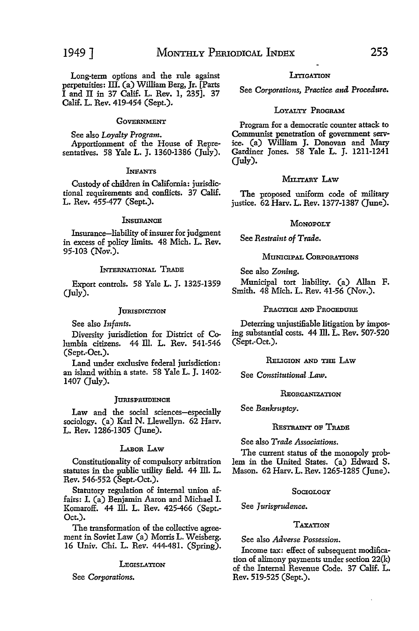Long-term options and the rule against perpetuities: III. (a) William Berg, Jr. [Parts

I and II in 37 Calif. L. Rev. 1, 235]. 37 Calif. L. Rev. 419-454 (Sept.).

# **GOVERNMENT**

See also *Loyalty Program.*  Apportionment of the House of Representatives. 58 Yale L. J. 1360-1386 (July).

#### **INFANTS**

Custody of children in California: jurisdictional requirements and conllicts. 37 Calif. L. Rev. 455-477 (Sept.).

#### **L**NSURANCE

Insurance-liability of insurer for judgment in excess of policy limits. 48 Mich. L. Rev. 95-103 (Nov.).

#### INTERNATIONAL TRADE

Export controls. 58 Yale L. J. 1325-1359 (July).

# **JURISDICTION**

See also *Infants.* 

Diversity jurisdiction for District of Columbia citizens. 44 Ill. L. Rev. 541-546 (Sept.-Oct.).

Land under exclusive federal jurisdiction: an island within a state. 58 Yale L. J. 1402- 1407 (July).

#### **JURISPRUDENCE**

Law and the social sciences-especially sociology. (a) Karl N. Llewellyn. 62 Harv. L. Rev. 1286-1305 (June).

# LABOR LAW

Constitutionality of compulsory arbitration statutes in the public utility field. 44 ID. L. Rev. 546-552 (Sept.-Oct.).

Statutory regulation of internal union affairs: I. (a) Benjamin Aaron and Michael I. Komaroff. 44 Ill. L. Rev. 425-466 (Sept.-Oct.).

The transformation of the collective agreement in Soviet Law (a) Morris L. Weisberg. 16 Univ. Chi. L. Rev. 444-481. (Spring).

#### **LEGISLATION**

See *Corporations.* 

## **LITIGATION**

See *Corporations, Practice and. Procedure.* 

# LOYALTY PROGRAM

Program for a democratic counter attack to Communist penetration of government service. (a) William J. Donovan and Mary Gardiner Jones. 58 Yale L. J. 1211-1241 (July).

#### MILITARY LAW

The proposed uniform code of military justice. 62 Harv. L. Rev. 1377-1387 (June).

# **MONOPOLY**

See *Restraint of Trade.* 

## MUNICIPAL CoRPORATIONS

See also *Zoning.* 

Municipal tort liability. (a) Allan F. Smith. 48 Mich. L. Rev. 41-56 (Nov.).

#### PRACTICE AND PROCEDURE

Deterring unjustifiable litigation by imposing substantial costs. 44 Ill. L. Rev. 507-520 (Sept.-Oct.).

#### RELIGION AND THE LAw

See *Constitutional .Law.* 

## REORGANIZATION

See *Bankruptcy.* 

# RESTRAINT OF TRADE

See also *Trade Associations.* 

The current status of the monopoly problem in the United States. (a) Edward S. Mason. 62 Harv. L. Rev. 1265-1285 (June).

## SOCIOLOGY

See *Jurispmdence.* 

# TAXATION

See also *Adverse Possession.* 

Income tax: effect of subsequent modification of alimony payments under section 22(k) of the Internal Revenue Code. 37 Calif. L. Rev. 519-525 (Sept.).